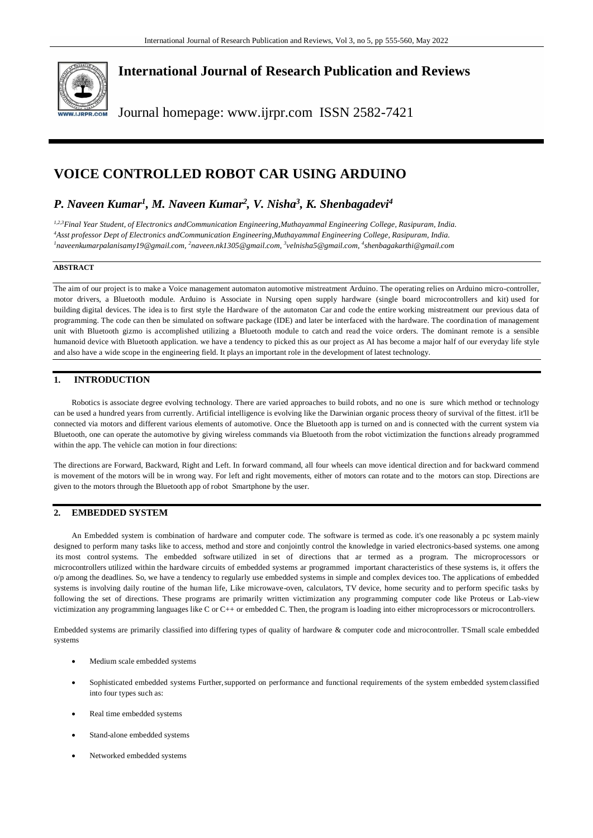

**International Journal of Research Publication and Reviews**

Journal homepage: www.ijrpr.com ISSN 2582-7421

# **VOICE CONTROLLED ROBOT CAR USING ARDUINO**

# *P. Naveen Kumar<sup>1</sup> , M. Naveen Kumar<sup>2</sup> , V. Nisha<sup>3</sup> , K. Shenbagadevi<sup>4</sup>*

*1,2,3Final Year Student, of Electronics andCommunication Engineering,Muthayammal Engineering College, Rasipuram, India. <sup>4</sup>Asst professor Dept of Electronics andCommunication Engineering,Muthayammal Engineering College, Rasipuram, India. 1 [naveenkumarpalanisamy19@gmail.com,](mailto:naveenkumarpalanisamy19@gmail.com,) <sup>2</sup> [naveen.nk1305@gmail.com,](mailto:naveen.nk1305@gmail.com) <sup>3</sup> [velnisha5@gmail.com,](mailto:velnisha5@gmail.com) <sup>4</sup> [shenbagakarthi@gmail.com](mailto:shenbagakarthi@gmail.com)*

### **ABSTRACT**

The aim of our project is to make a Voice management automaton automotive mistreatment Arduino. The operating relies on Arduino micro-controller, motor drivers, a Bluetooth module. Arduino is Associate in Nursing open supply hardware (single board microcontrollers and kit) used for building digital devices. The idea is to first style the Hardware of the automaton Car and code the entire working mistreatment our previous data of programming. The code can then be simulated on software package (IDE) and later be interfaced with the hardware. The coordination of management unit with Bluetooth gizmo is accomplished utilizing a Bluetooth module to catch and read the voice orders. The dominant remote is a sensible humanoid device with Bluetooth application. we have a tendency to picked this as our project as AI has become a major half of our everyday life style and also have a wide scope in the engineering field. It plays an important role in the development of latest technology.

# **1. INTRODUCTION**

Robotics is associate degree evolving technology. There are varied approaches to build robots, and no one is sure which method or technology can be used a hundred years from currently. Artificial intelligence is evolving like the Darwinian organic process theory of survival of the fittest. it'll be connected via motors and different various elements of automotive. Once the Bluetooth app is turned on and is connected with the current system via Bluetooth, one can operate the automotive by giving wireless commands via Bluetooth from the robot victimization the functions already programmed within the app. The vehicle can motion in four directions:

The directions are Forward, Backward, Right and Left. In forward command, all four wheels can move identical direction and for backward commend is movement of the motors will be in wrong way. For left and right movements, either of motors can rotate and to the motors can stop. Directions are given to the motors through the Bluetooth app of robot Smartphone by the user.

# **2. EMBEDDED SYSTEM**

An Embedded system is combination of hardware and computer code. The software is termed as code. it's one reasonably a pc system mainly designed to perform many tasks like to access, method and store and conjointly control the knowledge in varied electronics-based systems. one among its most control systems. The embedded software utilized in set of directions that ar termed as a program. The microprocessors or microcontrollers utilized within the hardware circuits of embedded systems ar programmed important characteristics of these systems is, it offers the o/p among the deadlines. So, we have a tendency to regularly use embedded systems in simple and complex devices too. The applications of embedded systems is involving daily routine of the human life, Like microwave-oven, calculators, TV device, home security and to perform specific tasks by following the set of directions. These programs are primarily written victimization any programming computer code like Proteus or Lab-view victimization any programming languages like C or C++ or embedded C. Then, the program is loading into either microprocessors or microcontrollers.

Embedded systems are primarily classified into differing types of quality of hardware & computer code and microcontroller. TSmall scale embedded systems

- Medium scale embedded systems
- Sophisticated embedded systems Further,supported on performance and functional requirements of the system embedded systemclassified into four types such as:
- Real time embedded systems
- Stand-alone embedded systems
- Networked embedded systems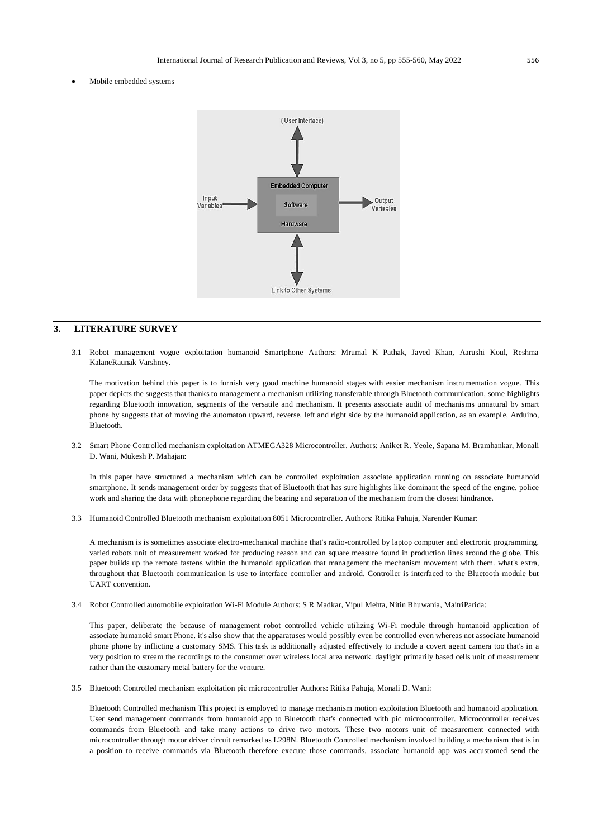Mobile embedded systems



# **3. LITERATURE SURVEY**

3.1 Robot management vogue exploitation humanoid Smartphone Authors: Mrumal K Pathak, Javed Khan, Aarushi Koul, Reshma KalaneRaunak Varshney.

The motivation behind this paper is to furnish very good machine humanoid stages with easier mechanism instrumentation vogue. This paper depicts the suggests that thanks to management a mechanism utilizing transferable through Bluetooth communication, some highlights regarding Bluetooth innovation, segments of the versatile and mechanism. It presents associate audit of mechanisms unnatural by smart phone by suggests that of moving the automaton upward, reverse, left and right side by the humanoid application, as an example, Arduino, Bluetooth.

3.2 Smart Phone Controlled mechanism exploitation ATMEGA328 Microcontroller. Authors: Aniket R. Yeole, Sapana M. Bramhankar, Monali D. Wani, Mukesh P. Mahajan:

In this paper have structured a mechanism which can be controlled exploitation associate application running on associate humanoid smartphone. It sends management order by suggests that of Bluetooth that has sure highlights like dominant the speed of the engine, police work and sharing the data with phonephone regarding the bearing and separation of the mechanism from the closest hindrance.

3.3 Humanoid Controlled Bluetooth mechanism exploitation 8051 Microcontroller. Authors: Ritika Pahuja, Narender Kumar:

A mechanism is is sometimes associate electro-mechanical machine that's radio-controlled by laptop computer and electronic programming. varied robots unit of measurement worked for producing reason and can square measure found in production lines around the globe. This paper builds up the remote fastens within the humanoid application that management the mechanism movement with them. what's extra, throughout that Bluetooth communication is use to interface controller and android. Controller is interfaced to the Bluetooth module but UART convention.

3.4 Robot Controlled automobile exploitation Wi-Fi Module Authors: S R Madkar, Vipul Mehta, Nitin Bhuwania, MaitriParida:

This paper, deliberate the because of management robot controlled vehicle utilizing Wi-Fi module through humanoid application of associate humanoid smart Phone. it's also show that the apparatuses would possibly even be controlled even whereas not associate humanoid phone phone by inflicting a customary SMS. This task is additionally adjusted effectively to include a covert agent camera too that's in a very position to stream the recordings to the consumer over wireless local area network. daylight primarily based cells unit of measurement rather than the customary metal battery for the venture.

3.5 Bluetooth Controlled mechanism exploitation pic microcontroller Authors: Ritika Pahuja, Monali D. Wani:

Bluetooth Controlled mechanism This project is employed to manage mechanism motion exploitation Bluetooth and humanoid application. User send management commands from humanoid app to Bluetooth that's connected with pic microcontroller. Microcontroller receives commands from Bluetooth and take many actions to drive two motors. These two motors unit of measurement connected with microcontroller through motor driver circuit remarked as L298N. Bluetooth Controlled mechanism involved building a mechanism that is in a position to receive commands via Bluetooth therefore execute those commands. associate humanoid app was accustomed send the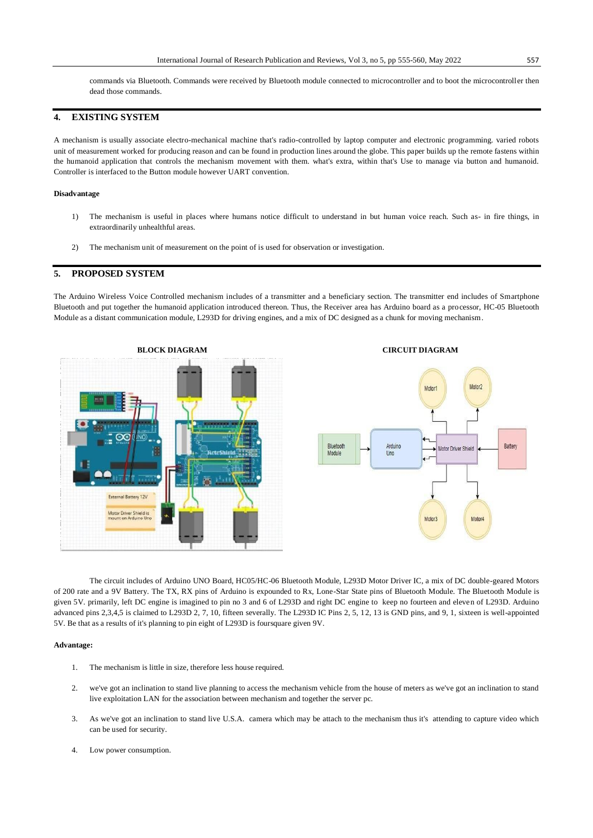commands via Bluetooth. Commands were received by Bluetooth module connected to microcontroller and to boot the microcontroller then dead those commands.

# **4. EXISTING SYSTEM**

A mechanism is usually associate electro-mechanical machine that's radio-controlled by laptop computer and electronic programming. varied robots unit of measurement worked for producing reason and can be found in production lines around the globe. This paper builds up the remote fastens within the humanoid application that controls the mechanism movement with them. what's extra, within that's Use to manage via button and humanoid. Controller is interfaced to the Button module however UART convention.

#### **Disadvantage**

- 1) The mechanism is useful in places where humans notice difficult to understand in but human voice reach. Such as- in fire things, in extraordinarily unhealthful areas.
- 2) The mechanism unit of measurement on the point of is used for observation or investigation.

### **5. PROPOSED SYSTEM**

The Arduino Wireless Voice Controlled mechanism includes of a transmitter and a beneficiary section. The transmitter end includes of Smartphone Bluetooth and put together the humanoid application introduced thereon. Thus, the Receiver area has Arduino board as a processor, HC-05 Bluetooth Module as a distant communication module, L293D for driving engines, and a mix of DC designed as a chunk for moving mechanism.



The circuit includes of Arduino UNO Board, HC05/HC-06 Bluetooth Module, L293D Motor Driver IC, a mix of DC double-geared Motors of 200 rate and a 9V Battery. The TX, RX pins of Arduino is expounded to Rx, Lone-Star State pins of Bluetooth Module. The Bluetooth Module is given 5V. primarily, left DC engine is imagined to pin no 3 and 6 of L293D and right DC engine to keep no fourteen and eleven of L293D. Arduino advanced pins 2,3,4,5 is claimed to L293D 2, 7, 10, fifteen severally. The L293D IC Pins 2, 5, 12, 13 is GND pins, and 9, 1, sixteen is well-appointed 5V. Be that as a results of it's planning to pin eight of L293D is foursquare given 9V.

#### **Advantage:**

- 1. The mechanism is little in size, therefore less house required.
- 2. we've got an inclination to stand live planning to access the mechanism vehicle from the house of meters as we've got an inclination to stand live exploitation LAN for the association between mechanism and together the server pc.
- 3. As we've got an inclination to stand live U.S.A. camera which may be attach to the mechanism thus it's attending to capture video which can be used for security.
- 4. Low power consumption.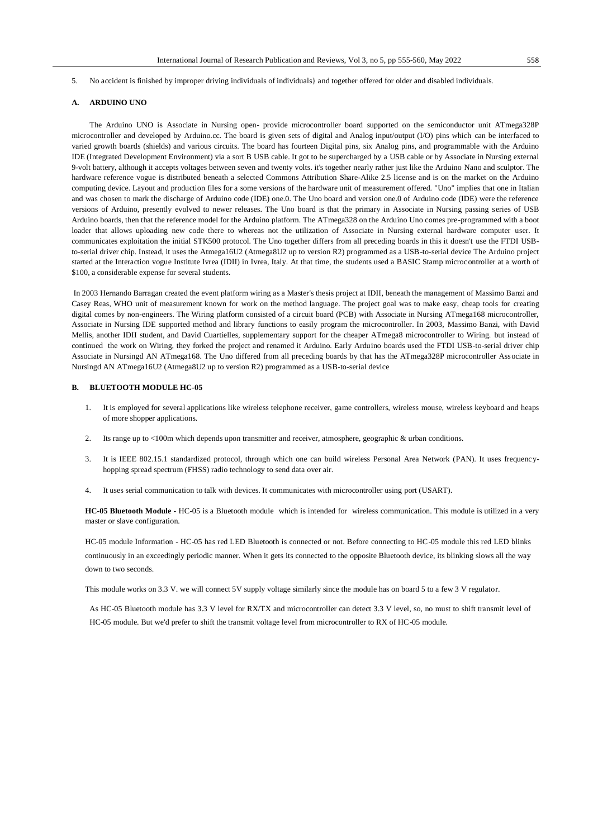5. No accident is finished by improper driving individuals of individuals} and together offered for older and disabled individuals.

#### **A. ARDUINO UNO**

The Arduino UNO is Associate in Nursing open- provide microcontroller board supported on the semiconductor unit ATmega328P microcontroller and developed by Arduino.cc. The board is given sets of digital and Analog input/output (I/O) pins which can be interfaced to varied growth boards (shields) and various circuits. The board has fourteen Digital pins, six Analog pins, and programmable with the Arduino IDE (Integrated Development Environment) via a sort B USB cable. It got to be supercharged by a USB cable or by Associate in Nursing external 9-volt battery, although it accepts voltages between seven and twenty volts. it's together nearly rather just like the Arduino Nano and sculptor. The hardware reference vogue is distributed beneath a selected Commons Attribution Share-Alike 2.5 license and is on the market on the Arduino computing device. Layout and production files for a some versions of the hardware unit of measurement offered. "Uno" implies that one in Italian and was chosen to mark the discharge of Arduino code (IDE) one.0. The Uno board and version one.0 of Arduino code (IDE) were the reference versions of Arduino, presently evolved to newer releases. The Uno board is that the primary in Associate in Nursing passing series of USB Arduino boards, then that the reference model for the Arduino platform. The ATmega328 on the Arduino Uno comes pre-programmed with a boot loader that allows uploading new code there to whereas not the utilization of Associate in Nursing external hardware computer user. It communicates exploitation the initial STK500 protocol. The Uno together differs from all preceding boards in this it doesn't use the FTDI USBto-serial driver chip. Instead, it uses the Atmega16U2 (Atmega8U2 up to version R2) programmed as a USB-to-serial device The Arduino project started at the Interaction vogue Institute Ivrea (IDII) in Ivrea, Italy. At that time, the students used a BASIC Stamp microcontroller at a worth of \$100, a considerable expense for several students.

In 2003 Hernando Barragan created the event platform wiring as a Master's thesis project at IDII, beneath the management of Massimo Banzi and Casey Reas, WHO unit of measurement known for work on the method language. The project goal was to make easy, cheap tools for creating digital comes by non-engineers. The Wiring platform consisted of a circuit board (PCB) with Associate in Nursing ATmega168 microcontroller, Associate in Nursing IDE supported method and library functions to easily program the microcontroller. In 2003, Massimo Banzi, with David Mellis, another IDII student, and David Cuartielles, supplementary support for the cheaper ATmega8 microcontroller to Wiring. but instead of continued the work on Wiring, they forked the project and renamed it Arduino. Early Arduino boards used the FTDI USB-to-serial driver chip Associate in Nursingd AN ATmega168. The Uno differed from all preceding boards by that has the ATmega328P microcontroller Associate in Nursingd AN ATmega16U2 (Atmega8U2 up to version R2) programmed as a USB-to-serial device

### **B. BLUETOOTH MODULE HC-05**

- 1. It is employed for several applications like wireless telephone receiver, game controllers, wireless mouse, wireless keyboard and heaps of more shopper applications.
- 2. Its range up to <100m which depends upon transmitter and receiver, atmosphere, geographic & urban conditions.
- 3. It is IEEE 802.15.1 standardized protocol, through which one can build wireless Personal Area Network (PAN). It uses frequencyhopping spread spectrum (FHSS) radio technology to send data over air.
- 4. It uses serial communication to talk with devices. It communicates with microcontroller using port (USART).

**HC-05 Bluetooth Module -** HC-05 is a Bluetooth module which is intended for wireless communication. This module is utilized in a very master or slave configuration.

HC-05 module Information - HC-05 has red LED Bluetooth is connected or not. Before connecting to HC-05 module this red LED blinks continuously in an exceedingly periodic manner. When it gets its connected to the opposite Bluetooth device, its blinking slows all the way down to two seconds.

This module works on 3.3 V. we will connect 5V supply voltage similarly since the module has on board 5 to a few 3 V regulator.

As HC-05 Bluetooth module has 3.3 V level for RX/TX and microcontroller can detect 3.3 V level, so, no must to shift transmit level of HC-05 module. But we'd prefer to shift the transmit voltage level from microcontroller to RX of HC-05 module.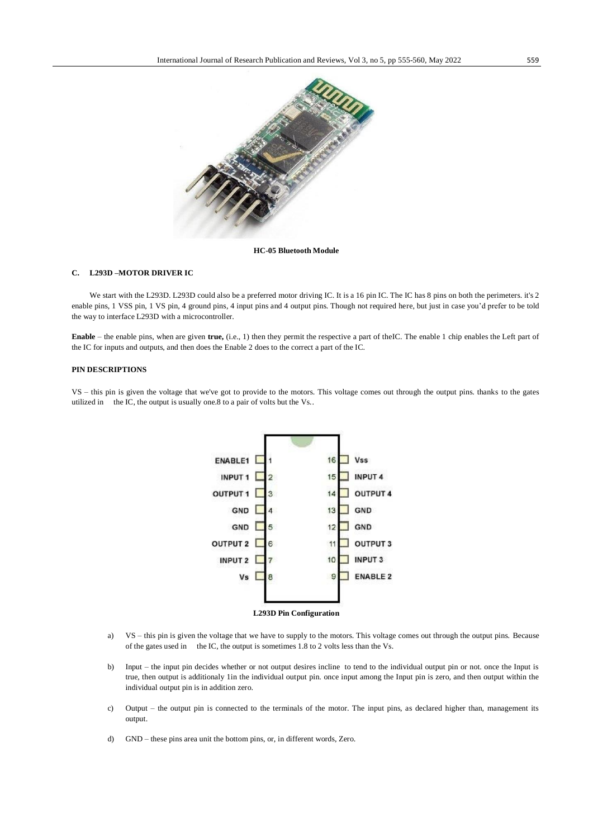

**HC-05 Bluetooth Module**

#### **C. L293D –MOTOR DRIVER IC**

We start with the L293D. L293D could also be a preferred motor driving IC. It is a 16 pin IC. The IC has 8 pins on both the perimeters. it's 2 enable pins, 1 VSS pin, 1 VS pin, 4 ground pins, 4 input pins and 4 output pins. Though not required here, but just in case you'd prefer to be told the way to interface L293D with a microcontroller.

**Enable** – the enable pins, when are given **true,** (i.e., 1) then they permit the respective a part of theIC. The enable 1 chip enables the Left part of the IC for inputs and outputs, and then does the Enable 2 does to the correct a part of the IC.

### **PIN DESCRIPTIONS**

VS – this pin is given the voltage that we've got to provide to the motors. This voltage comes out through the output pins. thanks to the gates utilized in the IC, the output is usually one.8 to a pair of volts but the Vs..



a) VS – this pin is given the voltage that we have to supply to the motors. This voltage comes out through the output pins. Because of the gates used in the IC, the output is sometimes 1.8 to 2 volts less than the Vs.

- b) Input the input pin decides whether or not output desires incline to tend to the individual output pin or not. once the Input is true, then output is additionaly 1in the individual output pin. once input among the Input pin is zero, and then output within the individual output pin is in addition zero.
- c) Output the output pin is connected to the terminals of the motor. The input pins, as declared higher than, management its output.
- d) GND these pins area unit the bottom pins, or, in different words, Zero.